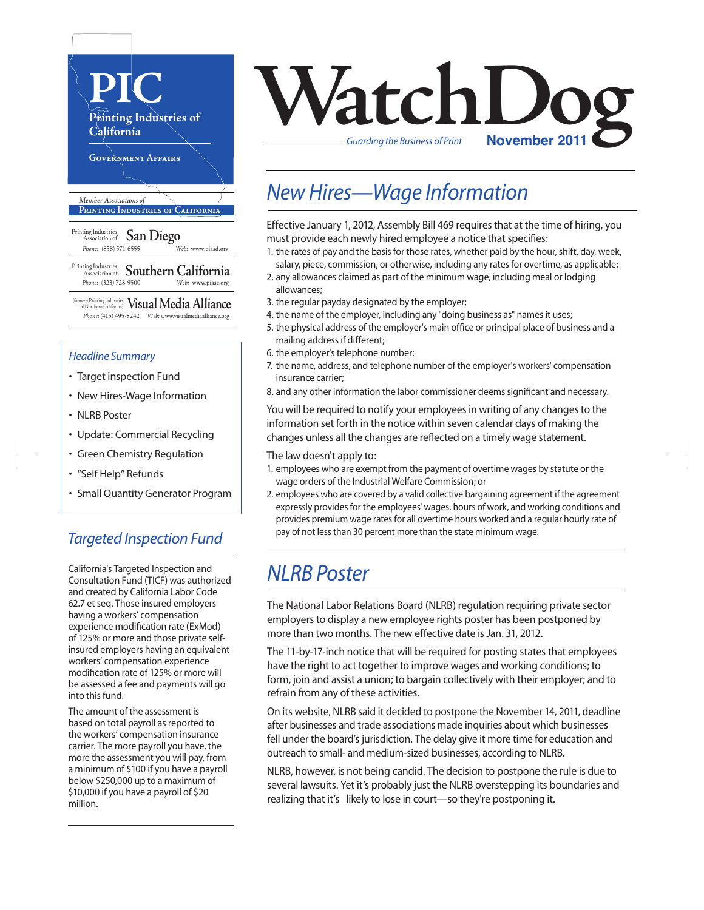

#### *Headline Summary*

- Target inspection Fund
- New Hires-Wage Information
- NLRB Poster
- Update: Commercial Recycling
- Green Chemistry Regulation
- "Self Help" Refunds
- Small Quantity Generator Program

### *Targeted Inspection Fund*

California's Targeted Inspection and Consultation Fund (TICF) was authorized and created by California Labor Code 62.7 et seq. Those insured employers having a workers' compensation experience modification rate (ExMod) of 125% or more and those private selfinsured employers having an equivalent workers' compensation experience modification rate of 125% or more will be assessed a fee and payments will go into this fund.

The amount of the assessment is based on total payroll as reported to the workers' compensation insurance carrier. The more payroll you have, the more the assessment you will pay, from a minimum of \$100 if you have a payroll below \$250,000 up to a maximum of \$10,000 if you have a payroll of \$20 million.

# **VatchLoo**

*Guarding the Business of Print*

## *New Hires—Wage Information*

Effective January 1, 2012, Assembly Bill 469 requires that at the time of hiring, you must provide each newly hired employee a notice that specifies:

- 1. the rates of pay and the basis for those rates, whether paid by the hour, shift, day, week, salary, piece, commission, or otherwise, including any rates for overtime, as applicable;
- 2. any allowances claimed as part of the minimum wage, including meal or lodging allowances;
- 3. the regular payday designated by the employer;
- 4. the name of the employer, including any "doing business as" names it uses;
- 5. the physical address of the employer's main office or principal place of business and a mailing address if different;
- 6. the employer's telephone number;
- 7. the name, address, and telephone number of the employer's workers' compensation insurance carrier;
- 8. and any other information the labor commissioner deems significant and necessary.

You will be required to notify your employees in writing of any changes to the information set forth in the notice within seven calendar days of making the changes unless all the changes are reflected on a timely wage statement.

#### The law doesn't apply to:

- 1. employees who are exempt from the payment of overtime wages by statute or the wage orders of the Industrial Welfare Commission; or
- 2. employees who are covered by a valid collective bargaining agreement if the agreement expressly provides for the employees' wages, hours of work, and working conditions and provides premium wage rates for all overtime hours worked and a regular hourly rate of pay of not less than 30 percent more than the state minimum wage.

## *NLRB Poster*

The National Labor Relations Board (NLRB) regulation requiring private sector employers to display a new employee rights poster has been postponed by more than two months. The new effective date is Jan. 31, 2012.

The 11-by-17-inch notice that will be required for posting states that employees have the right to act together to improve wages and working conditions; to form, join and assist a union; to bargain collectively with their employer; and to refrain from any of these activities.

On its website, NLRB said it decided to postpone the November 14, 2011, deadline after businesses and trade associations made inquiries about which businesses fell under the board's jurisdiction. The delay give it more time for education and outreach to small- and medium-sized businesses, according to NLRB.

NLRB, however, is not being candid. The decision to postpone the rule is due to several lawsuits. Yet it's probably just the NLRB overstepping its boundaries and realizing that it's likely to lose in court—so they're postponing it.